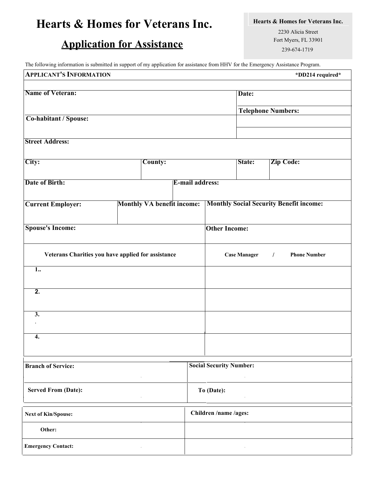## **Hearts & Homes for Veterans Inc.**

## **Application for Assistance**

**Hearts & Homes for Veterans Inc.**

2230 Alicia Street Fort Myers, FL 33901 239-674-1719

The following information is submitted in support of my application for assistance from HHV for the Emergency Assistance Program.

| <b>APPLICANT'S INFORMATION</b>                     |                                   |  |                        |                                |                     | *DD214 required*                               |  |  |
|----------------------------------------------------|-----------------------------------|--|------------------------|--------------------------------|---------------------|------------------------------------------------|--|--|
|                                                    |                                   |  |                        |                                |                     |                                                |  |  |
| <b>Name of Veteran:</b>                            |                                   |  |                        |                                |                     | Date:                                          |  |  |
|                                                    |                                   |  |                        |                                |                     | <b>Telephone Numbers:</b>                      |  |  |
| Co-habitant / Spouse:                              |                                   |  |                        |                                |                     |                                                |  |  |
|                                                    |                                   |  |                        |                                |                     |                                                |  |  |
| <b>Street Address:</b>                             |                                   |  |                        |                                |                     |                                                |  |  |
|                                                    |                                   |  |                        |                                |                     |                                                |  |  |
| City:                                              | County:                           |  |                        |                                | State:              | <b>Zip Code:</b>                               |  |  |
|                                                    |                                   |  |                        |                                |                     |                                                |  |  |
| <b>Date of Birth:</b>                              |                                   |  | <b>E-mail address:</b> |                                |                     |                                                |  |  |
|                                                    |                                   |  |                        |                                |                     |                                                |  |  |
| <b>Current Employer:</b>                           | <b>Monthly VA benefit income:</b> |  |                        |                                |                     | <b>Monthly Social Security Benefit income:</b> |  |  |
|                                                    |                                   |  |                        |                                |                     |                                                |  |  |
| <b>Spouse's Income:</b>                            |                                   |  |                        | <b>Other Income:</b>           |                     |                                                |  |  |
|                                                    |                                   |  |                        |                                |                     |                                                |  |  |
|                                                    |                                   |  |                        |                                |                     |                                                |  |  |
| Veterans Charities you have applied for assistance |                                   |  |                        |                                | <b>Case Manager</b> | <b>Phone Number</b><br>$\sqrt{2}$              |  |  |
| $\overline{1}$                                     |                                   |  |                        |                                |                     |                                                |  |  |
|                                                    |                                   |  |                        |                                |                     |                                                |  |  |
| $\overline{2}$ .                                   |                                   |  |                        |                                |                     |                                                |  |  |
|                                                    |                                   |  |                        |                                |                     |                                                |  |  |
| $\overline{3}$ .                                   |                                   |  |                        |                                |                     |                                                |  |  |
|                                                    |                                   |  |                        |                                |                     |                                                |  |  |
| 4.                                                 |                                   |  |                        |                                |                     |                                                |  |  |
|                                                    |                                   |  |                        |                                |                     |                                                |  |  |
|                                                    |                                   |  |                        |                                |                     |                                                |  |  |
| <b>Branch of Service:</b>                          |                                   |  |                        | <b>Social Security Number:</b> |                     |                                                |  |  |
|                                                    |                                   |  |                        |                                |                     |                                                |  |  |
| <b>Served From (Date):</b>                         |                                   |  |                        | To (Date):                     |                     |                                                |  |  |
|                                                    |                                   |  |                        |                                |                     |                                                |  |  |
|                                                    |                                   |  |                        | Children /name /ages:          |                     |                                                |  |  |
| <b>Next of Kin/Spouse:</b>                         |                                   |  |                        |                                |                     |                                                |  |  |
| Other:                                             |                                   |  |                        |                                |                     |                                                |  |  |
| <b>Emergency Contact:</b>                          |                                   |  |                        |                                |                     |                                                |  |  |
|                                                    |                                   |  |                        |                                |                     |                                                |  |  |